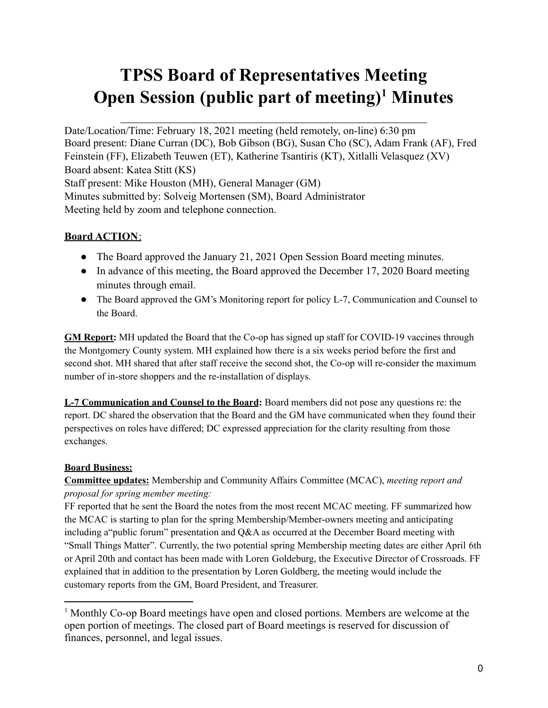# **TPSS Board of Representatives Meeting Open Session (public part of meeting) <sup>1</sup> Minutes**

Date/Location/Time: February 18, 2021 meeting (held remotely, on-line) 6:30 pm Board present: Diane Curran (DC), Bob Gibson (BG), Susan Cho (SC), Adam Frank (AF), Fred Feinstein (FF), Elizabeth Teuwen (ET), Katherine Tsantiris (KT), Xitlalli Velasquez (XV) Board absent: Katea Stitt (KS) Staff present: Mike Houston (MH), General Manager (GM) Minutes submitted by: Solveig Mortensen (SM), Board Administrator Meeting held by zoom and telephone connection.

# **Board ACTION**:

- The Board approved the January 21, 2021 Open Session Board meeting minutes.
- In advance of this meeting, the Board approved the December 17, 2020 Board meeting minutes through email.
- The Board approved the GM's Monitoring report for policy L-7, Communication and Counsel to the Board.

**GM Report:** MH updated the Board that the Co-op has signed up staff for COVID-19 vaccines through the Montgomery County system. MH explained how there is a six weeks period before the first and second shot. MH shared that after staff receive the second shot, the Co-op will re-consider the maximum number of in-store shoppers and the re-installation of displays.

**L-7 Communication and Counsel to the Board:** Board members did not pose any questions re: the report. DC shared the observation that the Board and the GM have communicated when they found their perspectives on roles have differed; DC expressed appreciation for the clarity resulting from those exchanges.

# **Board Business:**

**Committee updates:** Membership and Community Affairs Committee (MCAC), *meeting report and proposal for spring member meeting:*

FF reported that he sent the Board the notes from the most recent MCAC meeting. FF summarized how the MCAC is starting to plan for the spring Membership/Member-owners meeting and anticipating including a"public forum" presentation and Q&A as occurred at the December Board meeting with "Small Things Matter". Currently, the two potential spring Membership meeting dates are either April 6th or April 20th and contact has been made with Loren Goldeburg, the Executive Director of Crossroads. FF explained that in addition to the presentation by Loren Goldberg, the meeting would include the customary reports from the GM, Board President, and Treasurer.

<sup>1</sup> Monthly Co-op Board meetings have open and closed portions. Members are welcome at the open portion of meetings. The closed part of Board meetings is reserved for discussion of finances, personnel, and legal issues.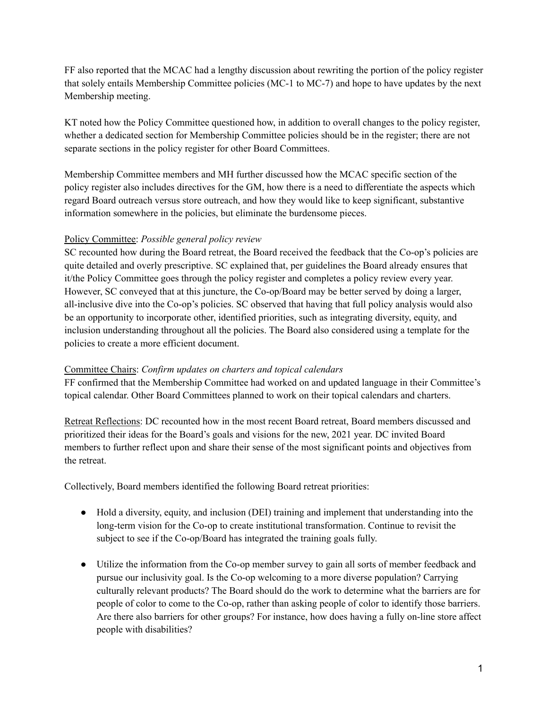FF also reported that the MCAC had a lengthy discussion about rewriting the portion of the policy register that solely entails Membership Committee policies (MC-1 to MC-7) and hope to have updates by the next Membership meeting.

KT noted how the Policy Committee questioned how, in addition to overall changes to the policy register, whether a dedicated section for Membership Committee policies should be in the register; there are not separate sections in the policy register for other Board Committees.

Membership Committee members and MH further discussed how the MCAC specific section of the policy register also includes directives for the GM, how there is a need to differentiate the aspects which regard Board outreach versus store outreach, and how they would like to keep significant, substantive information somewhere in the policies, but eliminate the burdensome pieces.

#### Policy Committee: *Possible general policy review*

SC recounted how during the Board retreat, the Board received the feedback that the Co-op's policies are quite detailed and overly prescriptive. SC explained that, per guidelines the Board already ensures that it/the Policy Committee goes through the policy register and completes a policy review every year. However, SC conveyed that at this juncture, the Co-op/Board may be better served by doing a larger, all-inclusive dive into the Co-op's policies. SC observed that having that full policy analysis would also be an opportunity to incorporate other, identified priorities, such as integrating diversity, equity, and inclusion understanding throughout all the policies. The Board also considered using a template for the policies to create a more efficient document.

#### Committee Chairs: *Confirm updates on charters and topical calendars*

FF confirmed that the Membership Committee had worked on and updated language in their Committee's topical calendar. Other Board Committees planned to work on their topical calendars and charters.

Retreat Reflections: DC recounted how in the most recent Board retreat, Board members discussed and prioritized their ideas for the Board's goals and visions for the new, 2021 year. DC invited Board members to further reflect upon and share their sense of the most significant points and objectives from the retreat.

Collectively, Board members identified the following Board retreat priorities:

- Hold a diversity, equity, and inclusion (DEI) training and implement that understanding into the long-term vision for the Co-op to create institutional transformation. Continue to revisit the subject to see if the Co-op/Board has integrated the training goals fully.
- Utilize the information from the Co-op member survey to gain all sorts of member feedback and pursue our inclusivity goal. Is the Co-op welcoming to a more diverse population? Carrying culturally relevant products? The Board should do the work to determine what the barriers are for people of color to come to the Co-op, rather than asking people of color to identify those barriers. Are there also barriers for other groups? For instance, how does having a fully on-line store affect people with disabilities?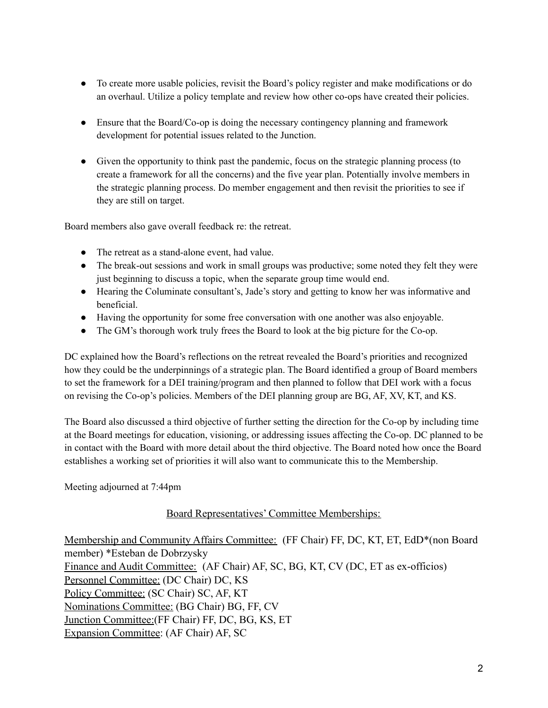- To create more usable policies, revisit the Board's policy register and make modifications or do an overhaul. Utilize a policy template and review how other co-ops have created their policies.
- Ensure that the Board/Co-op is doing the necessary contingency planning and framework development for potential issues related to the Junction.
- Given the opportunity to think past the pandemic, focus on the strategic planning process (to create a framework for all the concerns) and the five year plan. Potentially involve members in the strategic planning process. Do member engagement and then revisit the priorities to see if they are still on target.

Board members also gave overall feedback re: the retreat.

- The retreat as a stand-alone event, had value.
- The break-out sessions and work in small groups was productive; some noted they felt they were just beginning to discuss a topic, when the separate group time would end.
- Hearing the Columinate consultant's, Jade's story and getting to know her was informative and beneficial.
- Having the opportunity for some free conversation with one another was also enjoyable.
- The GM's thorough work truly frees the Board to look at the big picture for the Co-op.

DC explained how the Board's reflections on the retreat revealed the Board's priorities and recognized how they could be the underpinnings of a strategic plan. The Board identified a group of Board members to set the framework for a DEI training/program and then planned to follow that DEI work with a focus on revising the Co-op's policies. Members of the DEI planning group are BG, AF, XV, KT, and KS.

The Board also discussed a third objective of further setting the direction for the Co-op by including time at the Board meetings for education, visioning, or addressing issues affecting the Co-op. DC planned to be in contact with the Board with more detail about the third objective. The Board noted how once the Board establishes a working set of priorities it will also want to communicate this to the Membership.

Meeting adjourned at 7:44pm

#### Board Representatives' Committee Memberships:

Membership and Community Affairs Committee: (FF Chair) FF, DC, KT, ET, EdD\*(non Board member) \*Esteban de Dobrzysky Finance and Audit Committee: (AF Chair) AF, SC, BG, KT, CV (DC, ET as ex-officios) Personnel Committee: (DC Chair) DC, KS Policy Committee: (SC Chair) SC, AF, KT Nominations Committee: (BG Chair) BG, FF, CV Junction Committee:(FF Chair) FF, DC, BG, KS, ET Expansion Committee: (AF Chair) AF, SC